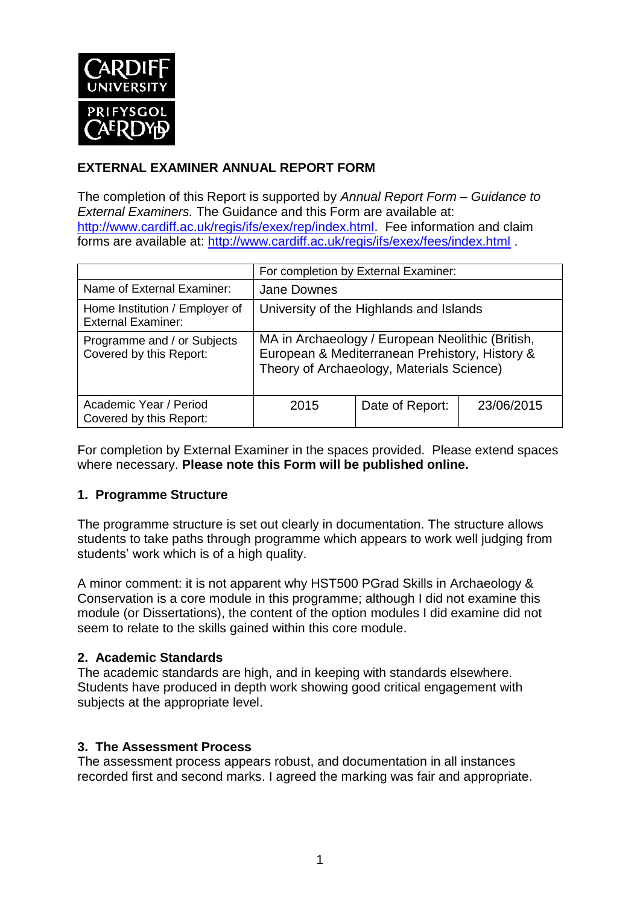

## **EXTERNAL EXAMINER ANNUAL REPORT FORM**

The completion of this Report is supported by *Annual Report Form – Guidance to External Examiners.* The Guidance and this Form are available at: [http://www.cardiff.ac.uk/regis/ifs/exex/rep/index.html.](http://www.cardiff.ac.uk/regis/ifs/exex/rep/index.html) Fee information and claim forms are available at:<http://www.cardiff.ac.uk/regis/ifs/exex/fees/index.html> .

|                                                             | For completion by External Examiner:                                                                                                            |                 |            |  |  |
|-------------------------------------------------------------|-------------------------------------------------------------------------------------------------------------------------------------------------|-----------------|------------|--|--|
| Name of External Examiner:                                  | <b>Jane Downes</b>                                                                                                                              |                 |            |  |  |
| Home Institution / Employer of<br><b>External Examiner:</b> | University of the Highlands and Islands                                                                                                         |                 |            |  |  |
| Programme and / or Subjects<br>Covered by this Report:      | MA in Archaeology / European Neolithic (British,<br>European & Mediterranean Prehistory, History &<br>Theory of Archaeology, Materials Science) |                 |            |  |  |
| Academic Year / Period<br>Covered by this Report:           | 2015                                                                                                                                            | Date of Report: | 23/06/2015 |  |  |

For completion by External Examiner in the spaces provided. Please extend spaces where necessary. **Please note this Form will be published online.**

### **1. Programme Structure**

The programme structure is set out clearly in documentation. The structure allows students to take paths through programme which appears to work well judging from students' work which is of a high quality.

A minor comment: it is not apparent why HST500 PGrad Skills in Archaeology & Conservation is a core module in this programme; although I did not examine this module (or Dissertations), the content of the option modules I did examine did not seem to relate to the skills gained within this core module.

### **2. Academic Standards**

The academic standards are high, and in keeping with standards elsewhere. Students have produced in depth work showing good critical engagement with subjects at the appropriate level.

### **3. The Assessment Process**

The assessment process appears robust, and documentation in all instances recorded first and second marks. I agreed the marking was fair and appropriate.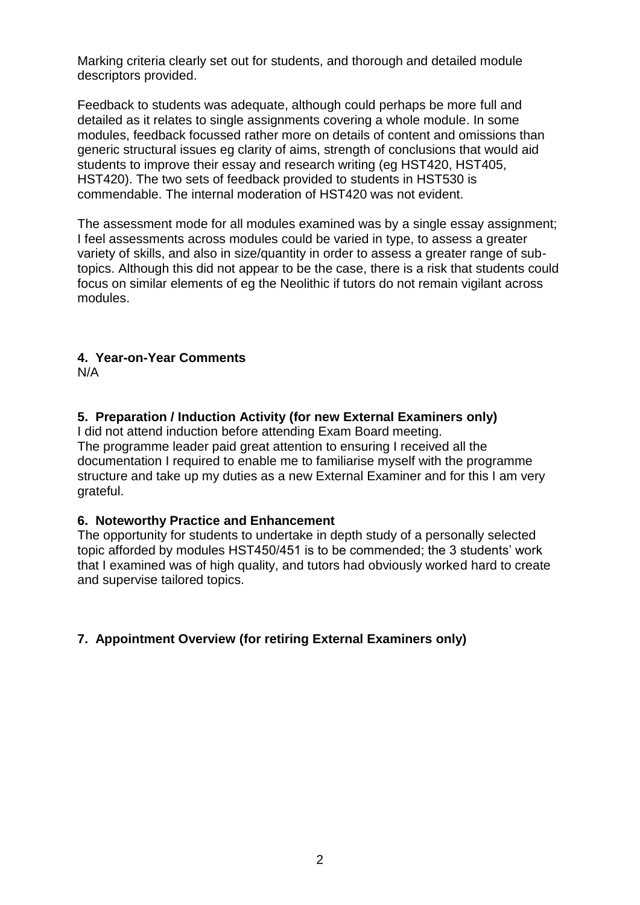Marking criteria clearly set out for students, and thorough and detailed module descriptors provided.

Feedback to students was adequate, although could perhaps be more full and detailed as it relates to single assignments covering a whole module. In some modules, feedback focussed rather more on details of content and omissions than generic structural issues eg clarity of aims, strength of conclusions that would aid students to improve their essay and research writing (eg HST420, HST405, HST420). The two sets of feedback provided to students in HST530 is commendable. The internal moderation of HST420 was not evident.

The assessment mode for all modules examined was by a single essay assignment; I feel assessments across modules could be varied in type, to assess a greater variety of skills, and also in size/quantity in order to assess a greater range of subtopics. Although this did not appear to be the case, there is a risk that students could focus on similar elements of eg the Neolithic if tutors do not remain vigilant across modules.

## **4. Year-on-Year Comments**

N/A

## **5. Preparation / Induction Activity (for new External Examiners only)**

I did not attend induction before attending Exam Board meeting. The programme leader paid great attention to ensuring I received all the documentation I required to enable me to familiarise myself with the programme structure and take up my duties as a new External Examiner and for this I am very grateful.

### **6. Noteworthy Practice and Enhancement**

The opportunity for students to undertake in depth study of a personally selected topic afforded by modules HST450/451 is to be commended; the 3 students' work that I examined was of high quality, and tutors had obviously worked hard to create and supervise tailored topics.

## **7. Appointment Overview (for retiring External Examiners only)**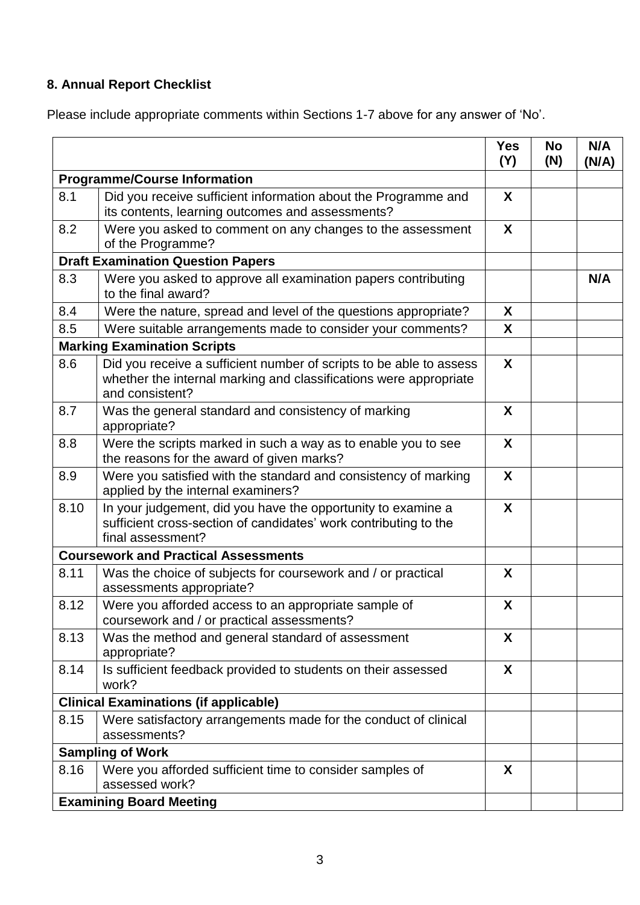# **8. Annual Report Checklist**

Please include appropriate comments within Sections 1-7 above for any answer of 'No'.

|                                          |                                                                                                                                                             | <b>Yes</b><br>(Y) | <b>No</b><br>(N) | N/A<br>(N/A) |
|------------------------------------------|-------------------------------------------------------------------------------------------------------------------------------------------------------------|-------------------|------------------|--------------|
| <b>Programme/Course Information</b>      |                                                                                                                                                             |                   |                  |              |
| 8.1                                      | Did you receive sufficient information about the Programme and<br>its contents, learning outcomes and assessments?                                          |                   |                  |              |
| 8.2                                      | Were you asked to comment on any changes to the assessment<br>of the Programme?                                                                             | X                 |                  |              |
| <b>Draft Examination Question Papers</b> |                                                                                                                                                             |                   |                  |              |
| 8.3                                      | Were you asked to approve all examination papers contributing<br>to the final award?                                                                        |                   |                  | N/A          |
| 8.4                                      | Were the nature, spread and level of the questions appropriate?                                                                                             | X                 |                  |              |
| 8.5                                      | Were suitable arrangements made to consider your comments?                                                                                                  | X                 |                  |              |
|                                          | <b>Marking Examination Scripts</b>                                                                                                                          |                   |                  |              |
| 8.6                                      | Did you receive a sufficient number of scripts to be able to assess<br>whether the internal marking and classifications were appropriate<br>and consistent? | X                 |                  |              |
| 8.7                                      | Was the general standard and consistency of marking<br>appropriate?                                                                                         | X                 |                  |              |
| 8.8                                      | Were the scripts marked in such a way as to enable you to see<br>the reasons for the award of given marks?                                                  | X                 |                  |              |
| 8.9                                      | Were you satisfied with the standard and consistency of marking<br>applied by the internal examiners?                                                       | X                 |                  |              |
| 8.10                                     | In your judgement, did you have the opportunity to examine a<br>sufficient cross-section of candidates' work contributing to the<br>final assessment?       | X                 |                  |              |
|                                          | <b>Coursework and Practical Assessments</b>                                                                                                                 |                   |                  |              |
| 8.11                                     | Was the choice of subjects for coursework and / or practical<br>assessments appropriate?                                                                    | X                 |                  |              |
| 8.12                                     | Were you afforded access to an appropriate sample of<br>coursework and / or practical assessments?                                                          | X                 |                  |              |
| 8.13                                     | Was the method and general standard of assessment<br>appropriate?                                                                                           | X                 |                  |              |
| 8.14                                     | Is sufficient feedback provided to students on their assessed<br>work?                                                                                      | X                 |                  |              |
|                                          | <b>Clinical Examinations (if applicable)</b>                                                                                                                |                   |                  |              |
| 8.15                                     | Were satisfactory arrangements made for the conduct of clinical<br>assessments?                                                                             |                   |                  |              |
| <b>Sampling of Work</b>                  |                                                                                                                                                             |                   |                  |              |
| 8.16                                     | Were you afforded sufficient time to consider samples of<br>assessed work?                                                                                  | X                 |                  |              |
|                                          | <b>Examining Board Meeting</b>                                                                                                                              |                   |                  |              |